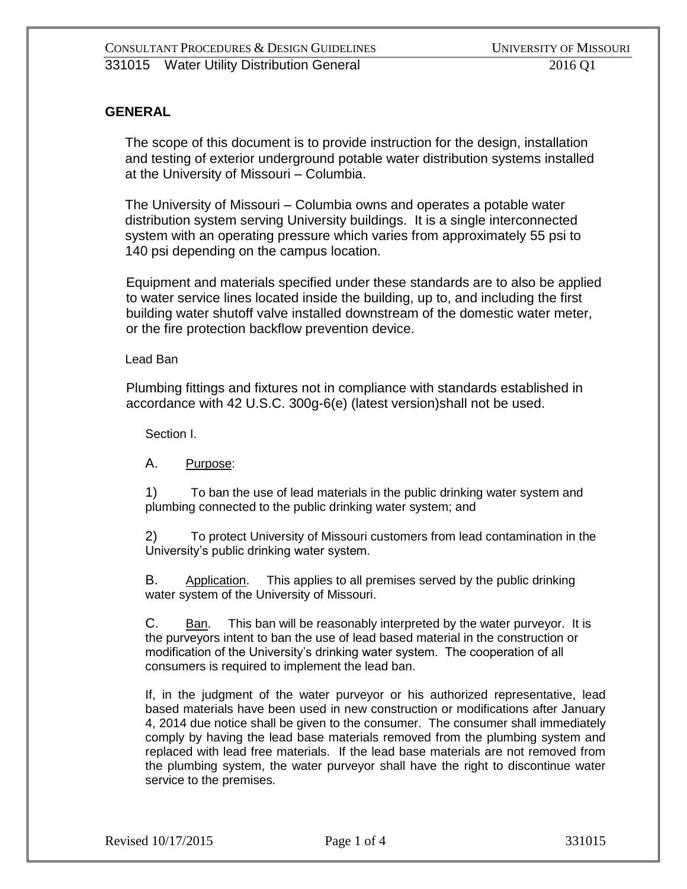# **GENERAL**

The scope of this document is to provide instruction for the design, installation and testing of exterior underground potable water distribution systems installed at the University of Missouri – Columbia.

The University of Missouri – Columbia owns and operates a potable water distribution system serving University buildings. It is a single interconnected system with an operating pressure which varies from approximately 55 psi to 140 psi depending on the campus location.

Equipment and materials specified under these standards are to also be applied to water service lines located inside the building, up to, and including the first building water shutoff valve installed downstream of the domestic water meter, or the fire protection backflow prevention device.

#### Lead Ban

Plumbing fittings and fixtures not in compliance with standards established in accordance with 42 U.S.C. 300g-6(e) (latest version)shall not be used.

Section I.

A. Purpose:

1) To ban the use of lead materials in the public drinking water system and plumbing connected to the public drinking water system; and

2) To protect University of Missouri customers from lead contamination in the University's public drinking water system.

B. Application. This applies to all premises served by the public drinking water system of the University of Missouri.

C. Ban. This ban will be reasonably interpreted by the water purveyor. It is the purveyors intent to ban the use of lead based material in the construction or modification of the University's drinking water system. The cooperation of all consumers is required to implement the lead ban.

If, in the judgment of the water purveyor or his authorized representative, lead based materials have been used in new construction or modifications after January 4, 2014 due notice shall be given to the consumer. The consumer shall immediately comply by having the lead base materials removed from the plumbing system and replaced with lead free materials. If the lead base materials are not removed from the plumbing system, the water purveyor shall have the right to discontinue water service to the premises.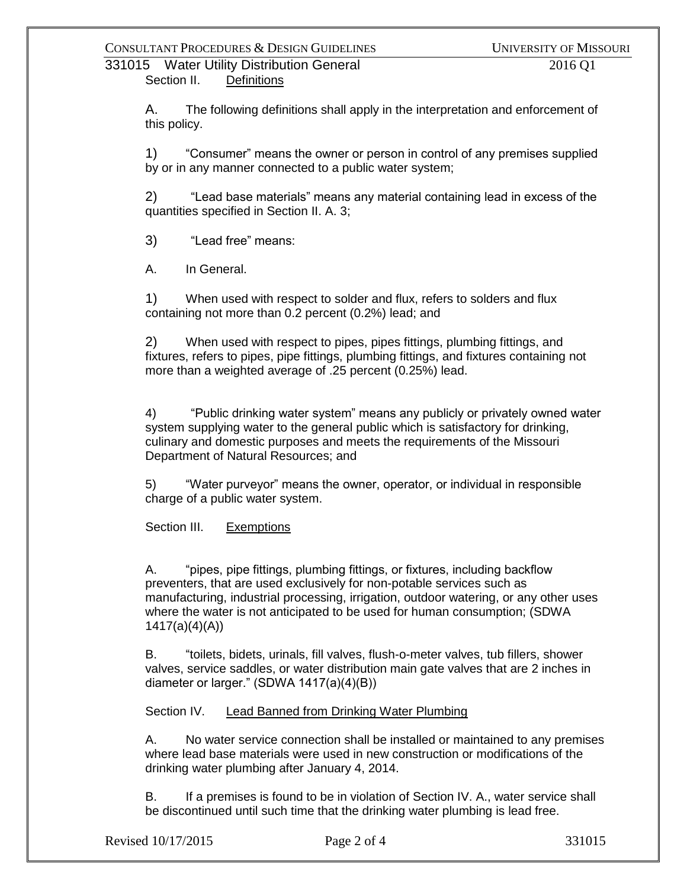### 331015 Water Utility Distribution General 2016 Q1 Section II. Definitions

A. The following definitions shall apply in the interpretation and enforcement of this policy.

1) "Consumer" means the owner or person in control of any premises supplied by or in any manner connected to a public water system;

2) "Lead base materials" means any material containing lead in excess of the quantities specified in Section II. A. 3;

3) "Lead free" means:

A. In General.

1) When used with respect to solder and flux, refers to solders and flux containing not more than 0.2 percent (0.2%) lead; and

2) When used with respect to pipes, pipes fittings, plumbing fittings, and fixtures, refers to pipes, pipe fittings, plumbing fittings, and fixtures containing not more than a weighted average of .25 percent (0.25%) lead.

4) "Public drinking water system" means any publicly or privately owned water system supplying water to the general public which is satisfactory for drinking, culinary and domestic purposes and meets the requirements of the Missouri Department of Natural Resources; and

5) "Water purveyor" means the owner, operator, or individual in responsible charge of a public water system.

Section III. Exemptions

A. "pipes, pipe fittings, plumbing fittings, or fixtures, including backflow preventers, that are used exclusively for non-potable services such as manufacturing, industrial processing, irrigation, outdoor watering, or any other uses where the water is not anticipated to be used for human consumption; (SDWA 1417(a)(4)(A))

B. "toilets, bidets, urinals, fill valves, flush-o-meter valves, tub fillers, shower valves, service saddles, or water distribution main gate valves that are 2 inches in diameter or larger." (SDWA 1417(a)(4)(B))

Section IV. Lead Banned from Drinking Water Plumbing

A. No water service connection shall be installed or maintained to any premises where lead base materials were used in new construction or modifications of the drinking water plumbing after January 4, 2014.

B. If a premises is found to be in violation of Section IV. A., water service shall be discontinued until such time that the drinking water plumbing is lead free.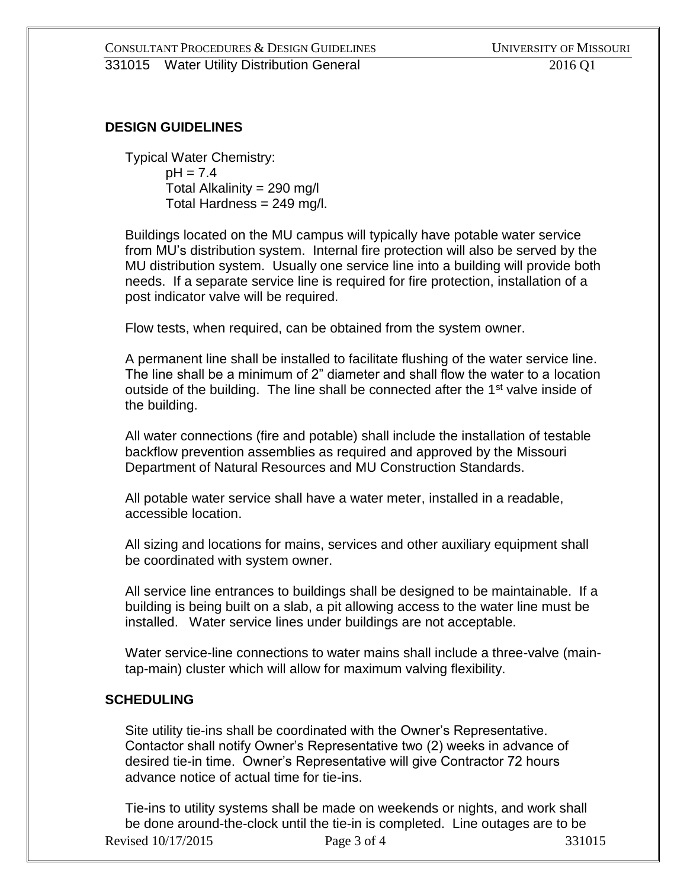# **DESIGN GUIDELINES**

Typical Water Chemistry:  $pH = 7.4$ Total Alkalinity =  $290 \text{ mg/l}$ Total Hardness = 249 mg/l.

Buildings located on the MU campus will typically have potable water service from MU's distribution system. Internal fire protection will also be served by the MU distribution system. Usually one service line into a building will provide both needs. If a separate service line is required for fire protection, installation of a post indicator valve will be required.

Flow tests, when required, can be obtained from the system owner.

A permanent line shall be installed to facilitate flushing of the water service line. The line shall be a minimum of 2" diameter and shall flow the water to a location outside of the building. The line shall be connected after the 1<sup>st</sup> valve inside of the building.

All water connections (fire and potable) shall include the installation of testable backflow prevention assemblies as required and approved by the Missouri Department of Natural Resources and MU Construction Standards.

All potable water service shall have a water meter, installed in a readable, accessible location.

All sizing and locations for mains, services and other auxiliary equipment shall be coordinated with system owner.

All service line entrances to buildings shall be designed to be maintainable. If a building is being built on a slab, a pit allowing access to the water line must be installed. Water service lines under buildings are not acceptable.

Water service-line connections to water mains shall include a three-valve (maintap-main) cluster which will allow for maximum valving flexibility.

# **SCHEDULING**

Site utility tie-ins shall be coordinated with the Owner's Representative. Contactor shall notify Owner's Representative two (2) weeks in advance of desired tie-in time. Owner's Representative will give Contractor 72 hours advance notice of actual time for tie-ins.

Revised 10/17/2015 Page 3 of 4 331015 Tie-ins to utility systems shall be made on weekends or nights, and work shall be done around-the-clock until the tie-in is completed. Line outages are to be